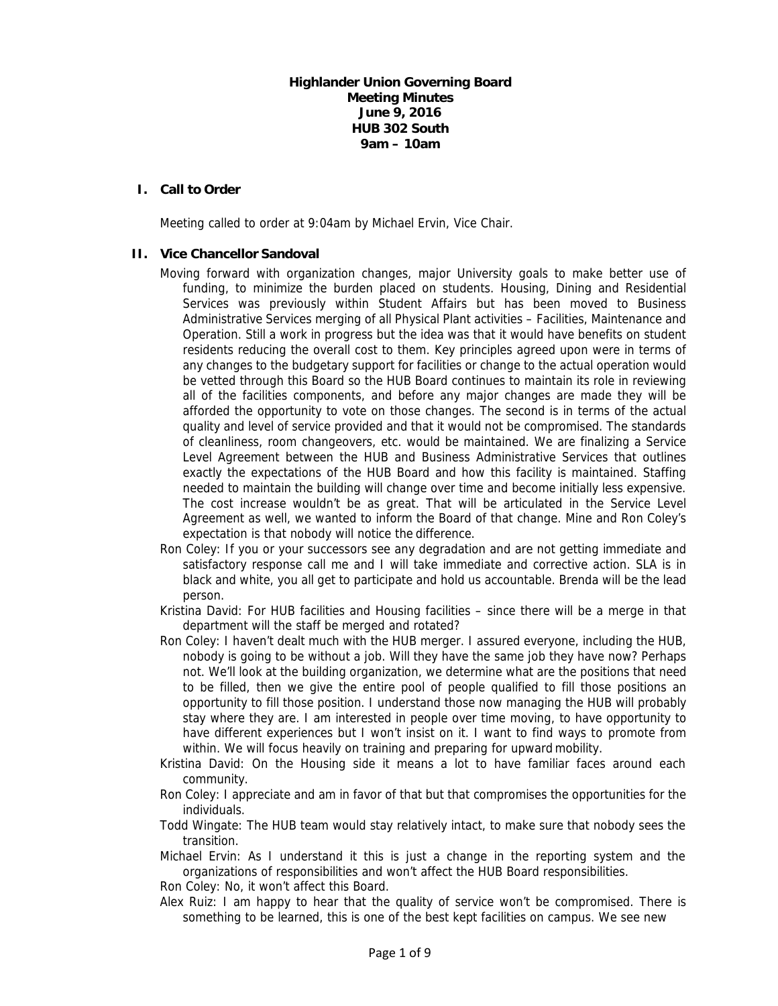# **Highlander Union Governing Board Meeting Minutes June 9, 2016 HUB 302 South 9am – 10am**

# **I. Call to Order**

Meeting called to order at 9:04am by Michael Ervin, Vice Chair.

# **II. Vice Chancellor Sandoval**

- Moving forward with organization changes, major University goals to make better use of funding, to minimize the burden placed on students. Housing, Dining and Residential Services was previously within Student Affairs but has been moved to Business Administrative Services merging of all Physical Plant activities – Facilities, Maintenance and Operation. Still a work in progress but the idea was that it would have benefits on student residents reducing the overall cost to them. Key principles agreed upon were in terms of any changes to the budgetary support for facilities or change to the actual operation would be vetted through this Board so the HUB Board continues to maintain its role in reviewing all of the facilities components, and before any major changes are made they will be afforded the opportunity to vote on those changes. The second is in terms of the actual quality and level of service provided and that it would not be compromised. The standards of cleanliness, room changeovers, etc. would be maintained. We are finalizing a Service Level Agreement between the HUB and Business Administrative Services that outlines exactly the expectations of the HUB Board and how this facility is maintained. Staffing needed to maintain the building will change over time and become initially less expensive. The cost increase wouldn't be as great. That will be articulated in the Service Level Agreement as well, we wanted to inform the Board of that change. Mine and Ron Coley's expectation is that nobody will notice the difference.
- Ron Coley: If you or your successors see any degradation and are not getting immediate and satisfactory response call me and I will take immediate and corrective action. SLA is in black and white, you all get to participate and hold us accountable. Brenda will be the lead person.
- Kristina David: For HUB facilities and Housing facilities since there will be a merge in that department will the staff be merged and rotated?
- Ron Coley: I haven't dealt much with the HUB merger. I assured everyone, including the HUB, nobody is going to be without a job. Will they have the same job they have now? Perhaps not. We'll look at the building organization, we determine what are the positions that need to be filled, then we give the entire pool of people qualified to fill those positions an opportunity to fill those position. I understand those now managing the HUB will probably stay where they are. I am interested in people over time moving, to have opportunity to have different experiences but I won't insist on it. I want to find ways to promote from within. We will focus heavily on training and preparing for upward mobility.
- Kristina David: On the Housing side it means a lot to have familiar faces around each community.
- Ron Coley: I appreciate and am in favor of that but that compromises the opportunities for the individuals.
- Todd Wingate: The HUB team would stay relatively intact, to make sure that nobody sees the transition.
- Michael Ervin: As I understand it this is just a change in the reporting system and the organizations of responsibilities and won't affect the HUB Board responsibilities.

Ron Coley: No, it won't affect this Board.

Alex Ruiz: I am happy to hear that the quality of service won't be compromised. There is something to be learned, this is one of the best kept facilities on campus. We see new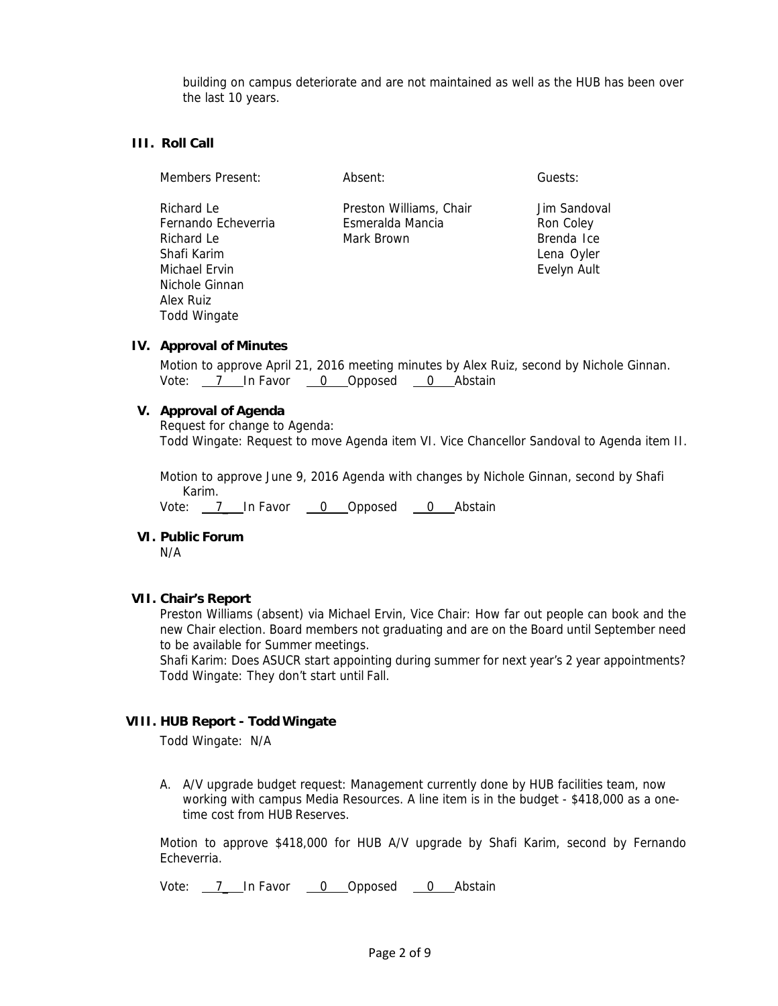building on campus deteriorate and are not maintained as well as the HUB has been over the last 10 years.

# **III. Roll Call**

| Members Present:                                                                                               | Absent:                                                   | Guests:                                                              |
|----------------------------------------------------------------------------------------------------------------|-----------------------------------------------------------|----------------------------------------------------------------------|
| Richard Le<br>Fernando Echeverria<br>Richard Le<br>Shafi Karim<br>Michael Ervin<br>Nichole Ginnan<br>Alex Ruiz | Preston Williams, Chair<br>Esmeralda Mancia<br>Mark Brown | Jim Sandoval<br>Ron Coley<br>Brenda Ice<br>Lena Oyler<br>Evelyn Ault |

#### **IV. Approval of Minutes**

Todd Wingate

Motion to approve April 21, 2016 meeting minutes by Alex Ruiz, second by Nichole Ginnan. Vote: 7 In Favor 0 Opposed 0 Abstain

#### **V. Approval of Agenda**

Request for change to Agenda: Todd Wingate: Request to move Agenda item VI. Vice Chancellor Sandoval to Agenda item II.

Motion to approve June 9, 2016 Agenda with changes by Nichole Ginnan, second by Shafi Karim.

Vote: 7\_ In Favor 0 Opposed 0 Abstain

## **VI. Public Forum**

N/A

## **VII. Chair's Report**

Preston Williams (absent) via Michael Ervin, Vice Chair: How far out people can book and the new Chair election. Board members not graduating and are on the Board until September need to be available for Summer meetings.

Shafi Karim: Does ASUCR start appointing during summer for next year's 2 year appointments? Todd Wingate: They don't start until Fall.

## **VIII. HUB Report - Todd Wingate**

Todd Wingate: N/A

A. A/V upgrade budget request: Management currently done by HUB facilities team, now working with campus Media Resources. A line item is in the budget - \$418,000 as a onetime cost from HUB Reserves.

Motion to approve \$418,000 for HUB A/V upgrade by Shafi Karim, second by Fernando Echeverria.

Vote:  $7$  In Favor  $0$  Opposed  $0$  Abstain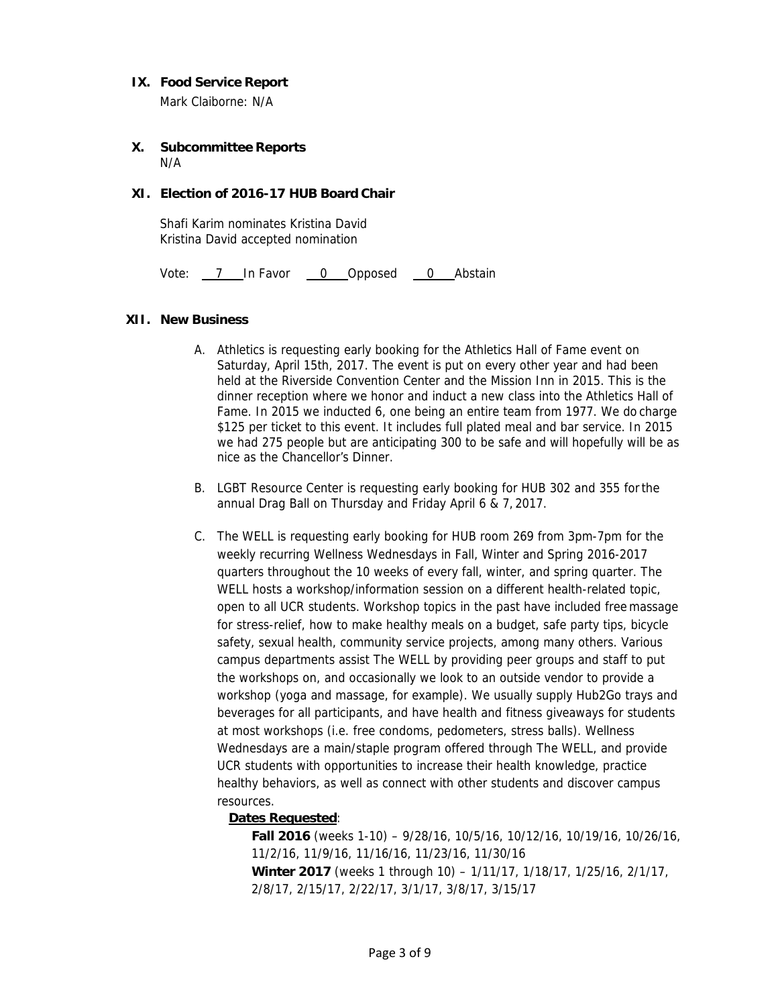# **IX. Food Service Report**

Mark Claiborne: N/A

#### **X. Subcommittee Reports**  N/A

# **XI. Election of 2016-17 HUB Board Chair**

Shafi Karim nominates Kristina David Kristina David accepted nomination

Vote: 7 In Favor 0 Opposed 0 Abstain

## **XII. New Business**

- A. Athletics is requesting early booking for the Athletics Hall of Fame event on Saturday, April 15th, 2017. The event is put on every other year and had been held at the Riverside Convention Center and the Mission Inn in 2015. This is the dinner reception where we honor and induct a new class into the Athletics Hall of Fame. In 2015 we inducted 6, one being an entire team from 1977. We do charge \$125 per ticket to this event. It includes full plated meal and bar service. In 2015 we had 275 people but are anticipating 300 to be safe and will hopefully will be as nice as the Chancellor's Dinner.
- B. LGBT Resource Center is requesting early booking for HUB 302 and 355 for the annual Drag Ball on Thursday and Friday April 6 & 7, 2017.
- C. The WELL is requesting early booking for HUB room 269 from 3pm-7pm for the weekly recurring Wellness Wednesdays in Fall, Winter and Spring 2016-2017 quarters throughout the 10 weeks of every fall, winter, and spring quarter. The WELL hosts a workshop/information session on a different health-related topic, open to all UCR students. Workshop topics in the past have included free massage for stress-relief, how to make healthy meals on a budget, safe party tips, bicycle safety, sexual health, community service projects, among many others. Various campus departments assist The WELL by providing peer groups and staff to put the workshops on, and occasionally we look to an outside vendor to provide a workshop (yoga and massage, for example). We usually supply Hub2Go trays and beverages for all participants, and have health and fitness giveaways for students at most workshops (i.e. free condoms, pedometers, stress balls). Wellness Wednesdays are a main/staple program offered through The WELL, and provide UCR students with opportunities to increase their health knowledge, practice healthy behaviors, as well as connect with other students and discover campus resources.

## **Dates Requested**:

**Fall 2016** (weeks 1-10) – 9/28/16, 10/5/16, 10/12/16, 10/19/16, 10/26/16, 11/2/16, 11/9/16, 11/16/16, 11/23/16, 11/30/16 **Winter 2017** (weeks 1 through 10) – 1/11/17, 1/18/17, 1/25/16, 2/1/17, 2/8/17, 2/15/17, 2/22/17, 3/1/17, 3/8/17, 3/15/17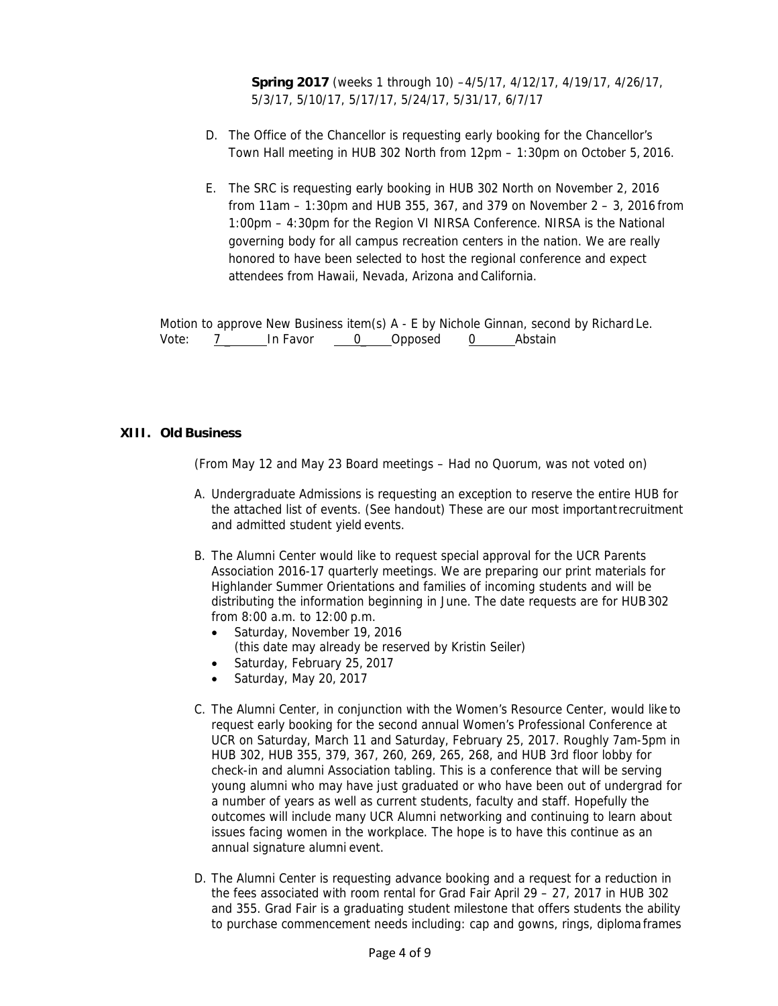**Spring 2017** (weeks 1 through 10) –4/5/17, 4/12/17, 4/19/17, 4/26/17, 5/3/17, 5/10/17, 5/17/17, 5/24/17, 5/31/17, 6/7/17

- D. The Office of the Chancellor is requesting early booking for the Chancellor's Town Hall meeting in HUB 302 North from 12pm – 1:30pm on October 5, 2016.
- E. The SRC is requesting early booking in HUB 302 North on November 2, 2016 from 11am – 1:30pm and HUB 355, 367, and 379 on November 2 – 3, 2016 from 1:00pm – 4:30pm for the Region VI NIRSA Conference. NIRSA is the National governing body for all campus recreation centers in the nation. We are really honored to have been selected to host the regional conference and expect attendees from Hawaii, Nevada, Arizona and California.

Motion to approve New Business item(s) A - E by Nichole Ginnan, second by Richard Le. Vote:  $7 \quad$  In Favor  $0 \quad$  Opposed  $0 \quad$  Abstain

# **XIII. Old Business**

(From May 12 and May 23 Board meetings – Had no Quorum, was not voted on)

- A. Undergraduate Admissions is requesting an exception to reserve the entire HUB for the attached list of events. (See handout) These are our most important recruitment and admitted student yield events.
- B. The Alumni Center would like to request special approval for the UCR Parents Association 2016-17 quarterly meetings. We are preparing our print materials for Highlander Summer Orientations and families of incoming students and will be distributing the information beginning in June. The date requests are for HUB 302 from 8:00 a.m. to 12:00 p.m.
	- Saturday, November 19, 2016 (this date may already be reserved by Kristin Seiler)
	- Saturday, February 25, 2017
	- Saturday, May 20, 2017
- C. The Alumni Center, in conjunction with the Women's Resource Center, would like to request early booking for the second annual Women's Professional Conference at UCR on Saturday, March 11 and Saturday, February 25, 2017. Roughly 7am-5pm in HUB 302, HUB 355, 379, 367, 260, 269, 265, 268, and HUB 3rd floor lobby for check-in and alumni Association tabling. This is a conference that will be serving young alumni who may have just graduated or who have been out of undergrad for a number of years as well as current students, faculty and staff. Hopefully the outcomes will include many UCR Alumni networking and continuing to learn about issues facing women in the workplace. The hope is to have this continue as an annual signature alumni event.
- D. The Alumni Center is requesting advance booking and a request for a reduction in the fees associated with room rental for Grad Fair April 29 – 27, 2017 in HUB 302 and 355. Grad Fair is a graduating student milestone that offers students the ability to purchase commencement needs including: cap and gowns, rings, diploma frames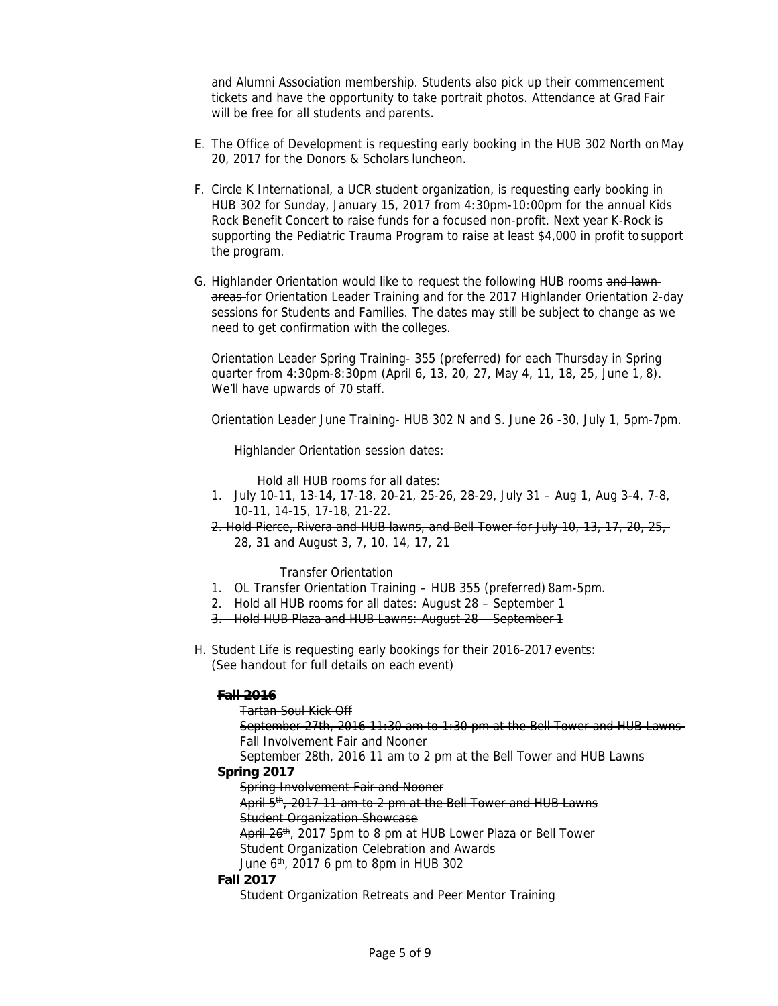and Alumni Association membership. Students also pick up their commencement tickets and have the opportunity to take portrait photos. Attendance at Grad Fair will be free for all students and parents.

- E. The Office of Development is requesting early booking in the HUB 302 North on May 20, 2017 for the Donors & Scholars luncheon.
- F. Circle K International, a UCR student organization, is requesting early booking in HUB 302 for Sunday, January 15, 2017 from 4:30pm-10:00pm for the annual Kids Rock Benefit Concert to raise funds for a focused non-profit. Next year K-Rock is supporting the Pediatric Trauma Program to raise at least \$4,000 in profit to support the program.
- G. Highlander Orientation would like to request the following HUB rooms and lawnareas for Orientation Leader Training and for the 2017 Highlander Orientation 2-day sessions for Students and Families. The dates may still be subject to change as we need to get confirmation with the colleges.

Orientation Leader Spring Training- 355 (preferred) for each Thursday in Spring quarter from 4:30pm-8:30pm (April 6, 13, 20, 27, May 4, 11, 18, 25, June 1, 8). We'll have upwards of 70 staff.

Orientation Leader June Training- HUB 302 N and S. June 26 -30, July 1, 5pm-7pm.

Highlander Orientation session dates:

Hold all HUB rooms for all dates:

- 1. July 10-11, 13-14, 17-18, 20-21, 25-26, 28-29, July 31 Aug 1, Aug 3-4, 7-8, 10-11, 14-15, 17-18, 21-22.
- 2. Hold Pierce, Rivera and HUB lawns, and Bell Tower for July 10, 13, 17, 20, 25, 28, 31 and August 3, 7, 10, 14, 17, 21

Transfer Orientation

- 1. OL Transfer Orientation Training HUB 355 (preferred) 8am-5pm.
- 2. Hold all HUB rooms for all dates: August 28 September 1
- 3. Hold HUB Plaza and HUB Lawns: August 28 September 1
- H. Student Life is requesting early bookings for their 2016-2017 events: (See handout for full details on each event)

# **Fall 2016**

Tartan Soul Kick Off September 27th, 2016 11:30 am to 1:30 pm at the Bell Tower and HUB Lawns Fall Involvement Fair and Nooner

September 28th, 2016 11 am to 2 pm at the Bell Tower and HUB Lawns

# **Spring 2017**

Spring Involvement Fair and Nooner

April 5<sup>th</sup>, 2017 11 am to 2 pm at the Bell Tower and HUB Lawns

Student Organization Showcase

- April 26<sup>th</sup>, 2017 5pm to 8 pm at HUB Lower Plaza or Bell Tower
- Student Organization Celebration and Awards
- June  $6<sup>th</sup>$ , 2017 6 pm to 8pm in HUB 302

# **Fall 2017**

Student Organization Retreats and Peer Mentor Training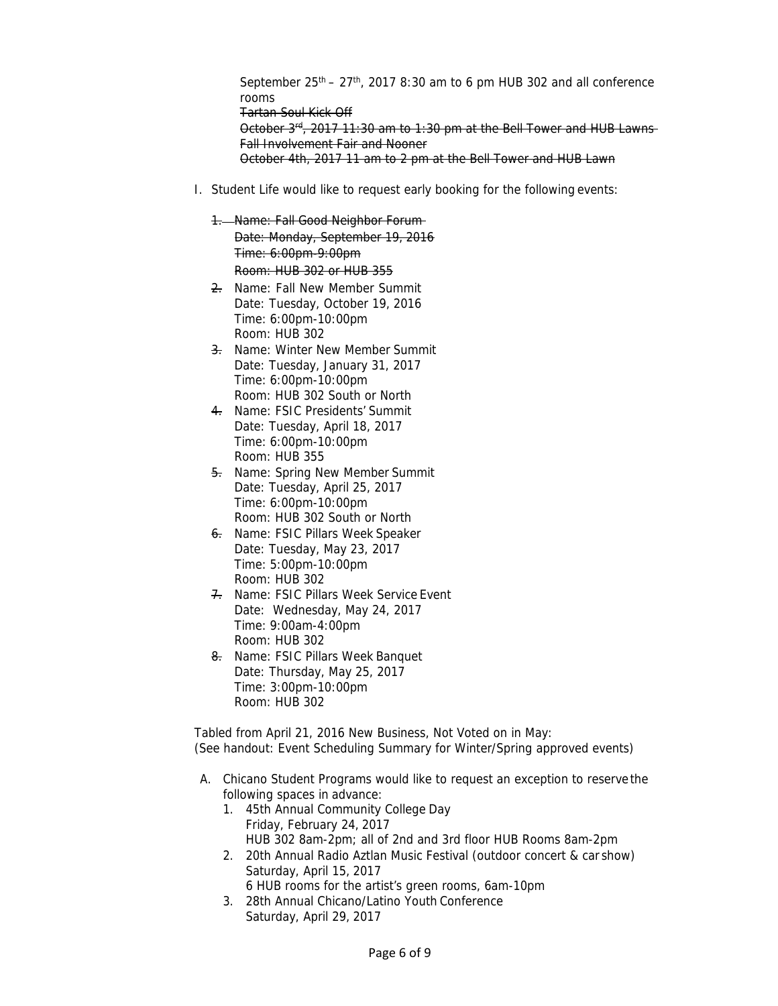September  $25<sup>th</sup> - 27<sup>th</sup>$ , 2017 8:30 am to 6 pm HUB 302 and all conference rooms Tartan Soul Kick Off October  $3<sup>rd</sup>$ , 2017 11:30 am to 1:30 pm at the Bell Tower and HUB Lawns Fall Involvement Fair and Nooner October 4th, 2017 11 am to 2 pm at the Bell Tower and HUB Lawn

- I. Student Life would like to request early booking for the following events:
	- 1. Name: Fall Good Neighbor Forum Date: Monday, September 19, 2016 Time: 6:00pm-9:00pm Room: HUB 302 or HUB 355
	- 2. Name: Fall New Member Summit Date: Tuesday, October 19, 2016 Time: 6:00pm-10:00pm Room: HUB 302
	- 3. Name: Winter New Member Summit Date: Tuesday, January 31, 2017 Time: 6:00pm-10:00pm Room: HUB 302 South or North
	- 4. Name: FSIC Presidents' Summit Date: Tuesday, April 18, 2017 Time: 6:00pm-10:00pm Room: HUB 355
	- 5. Name: Spring New Member Summit Date: Tuesday, April 25, 2017 Time: 6:00pm-10:00pm Room: HUB 302 South or North
	- 6. Name: FSIC Pillars Week Speaker Date: Tuesday, May 23, 2017 Time: 5:00pm-10:00pm Room: HUB 302
	- 7. Name: FSIC Pillars Week Service Event Date: Wednesday, May 24, 2017 Time: 9:00am-4:00pm Room: HUB 302
	- 8. Name: FSIC Pillars Week Banquet Date: Thursday, May 25, 2017 Time: 3:00pm-10:00pm Room: HUB 302

Tabled from April 21, 2016 New Business, Not Voted on in May: (See handout: Event Scheduling Summary for Winter/Spring approved events)

- A. Chicano Student Programs would like to request an exception to reserve the following spaces in advance:
	- 1. 45th Annual Community College Day Friday, February 24, 2017 HUB 302 8am-2pm; all of 2nd and 3rd floor HUB Rooms 8am-2pm
	- 2. 20th Annual Radio Aztlan Music Festival (outdoor concert & car show) Saturday, April 15, 2017 6 HUB rooms for the artist's green rooms, 6am-10pm
	- 3. 28th Annual Chicano/Latino Youth Conference Saturday, April 29, 2017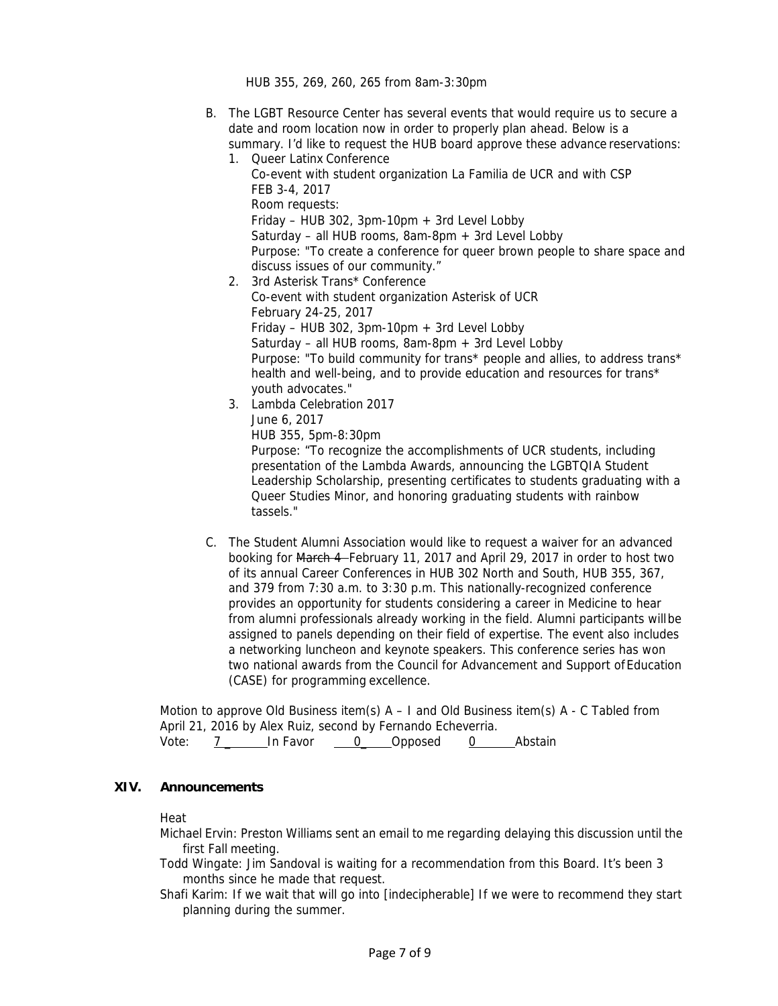HUB 355, 269, 260, 265 from 8am-3:30pm

- B. The LGBT Resource Center has several events that would require us to secure a date and room location now in order to properly plan ahead. Below is a summary. I'd like to request the HUB board approve these advance reservations:
	- 1. Queer Latinx Conference Co-event with student organization La Familia de UCR and with CSP FEB 3-4, 2017 Room requests: Friday – HUB 302, 3pm-10pm  $+$  3rd Level Lobby Saturday – all HUB rooms,  $8am-8pm + 3rd$  Level Lobby Purpose: "To create a conference for queer brown people to share space and discuss issues of our community." 2. 3rd Asterisk Trans\* Conference Co-event with student organization Asterisk of UCR February 24-25, 2017 Friday – HUB 302, 3pm-10pm + 3rd Level Lobby Saturday – all HUB rooms, 8am-8pm + 3rd Level Lobby Purpose: "To build community for trans\* people and allies, to address trans\* health and well-being, and to provide education and resources for trans\* youth advocates."
	- 3. Lambda Celebration 2017 June 6, 2017

HUB 355, 5pm-8:30pm

Purpose: "To recognize the accomplishments of UCR students, including presentation of the Lambda Awards, announcing the LGBTQIA Student Leadership Scholarship, presenting certificates to students graduating with a Queer Studies Minor, and honoring graduating students with rainbow tassels."

C. The Student Alumni Association would like to request a waiver for an advanced booking for March 4 February 11, 2017 and April 29, 2017 in order to host two of its annual Career Conferences in HUB 302 North and South, HUB 355, 367, and 379 from 7:30 a.m. to 3:30 p.m. This nationally-recognized conference provides an opportunity for students considering a career in Medicine to hear from alumni professionals already working in the field. Alumni participants will be assigned to panels depending on their field of expertise. The event also includes a networking luncheon and keynote speakers. This conference series has won two national awards from the Council for Advancement and Support of Education (CASE) for programming excellence.

Motion to approve Old Business item(s)  $A - I$  and Old Business item(s)  $A - C$  Tabled from April 21, 2016 by Alex Ruiz, second by Fernando Echeverria. Vote: 7 In Favor 0 Opposed 0 Abstain

## **XIV. Announcements**

Heat

Michael Ervin: Preston Williams sent an email to me regarding delaying this discussion until the first Fall meeting.

Todd Wingate: Jim Sandoval is waiting for a recommendation from this Board. It's been 3 months since he made that request.

Shafi Karim: If we wait that will go into [indecipherable] If we were to recommend they start planning during the summer.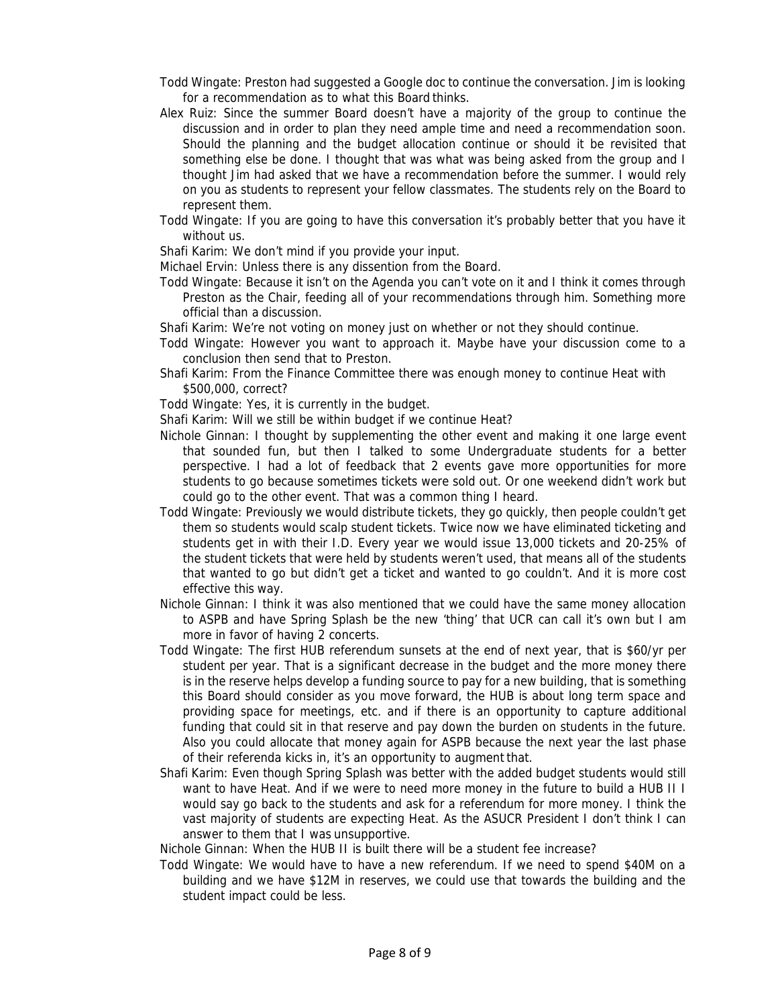- Todd Wingate: Preston had suggested a Google doc to continue the conversation. Jim is looking for a recommendation as to what this Board thinks.
- Alex Ruiz: Since the summer Board doesn't have a majority of the group to continue the discussion and in order to plan they need ample time and need a recommendation soon. Should the planning and the budget allocation continue or should it be revisited that something else be done. I thought that was what was being asked from the group and I thought Jim had asked that we have a recommendation before the summer. I would rely on you as students to represent your fellow classmates. The students rely on the Board to represent them.
- Todd Wingate: If you are going to have this conversation it's probably better that you have it without us.

Shafi Karim: We don't mind if you provide your input.

Michael Ervin: Unless there is any dissention from the Board.

- Todd Wingate: Because it isn't on the Agenda you can't vote on it and I think it comes through Preston as the Chair, feeding all of your recommendations through him. Something more official than a discussion.
- Shafi Karim: We're not voting on money just on whether or not they should continue.
- Todd Wingate: However you want to approach it. Maybe have your discussion come to a conclusion then send that to Preston.
- Shafi Karim: From the Finance Committee there was enough money to continue Heat with \$500,000, correct?
- Todd Wingate: Yes, it is currently in the budget.
- Shafi Karim: Will we still be within budget if we continue Heat?
- Nichole Ginnan: I thought by supplementing the other event and making it one large event that sounded fun, but then I talked to some Undergraduate students for a better perspective. I had a lot of feedback that 2 events gave more opportunities for more students to go because sometimes tickets were sold out. Or one weekend didn't work but could go to the other event. That was a common thing I heard.
- Todd Wingate: Previously we would distribute tickets, they go quickly, then people couldn't get them so students would scalp student tickets. Twice now we have eliminated ticketing and students get in with their I.D. Every year we would issue 13,000 tickets and 20-25% of the student tickets that were held by students weren't used, that means all of the students that wanted to go but didn't get a ticket and wanted to go couldn't. And it is more cost effective this way.
- Nichole Ginnan: I think it was also mentioned that we could have the same money allocation to ASPB and have Spring Splash be the new 'thing' that UCR can call it's own but I am more in favor of having 2 concerts.
- Todd Wingate: The first HUB referendum sunsets at the end of next year, that is \$60/yr per student per year. That is a significant decrease in the budget and the more money there is in the reserve helps develop a funding source to pay for a new building, that is something this Board should consider as you move forward, the HUB is about long term space and providing space for meetings, etc. and if there is an opportunity to capture additional funding that could sit in that reserve and pay down the burden on students in the future. Also you could allocate that money again for ASPB because the next year the last phase of their referenda kicks in, it's an opportunity to augment that.
- Shafi Karim: Even though Spring Splash was better with the added budget students would still want to have Heat. And if we were to need more money in the future to build a HUB II I would say go back to the students and ask for a referendum for more money. I think the vast majority of students are expecting Heat. As the ASUCR President I don't think I can answer to them that I was unsupportive.

Nichole Ginnan: When the HUB II is built there will be a student fee increase?

Todd Wingate: We would have to have a new referendum. If we need to spend \$40M on a building and we have \$12M in reserves, we could use that towards the building and the student impact could be less.